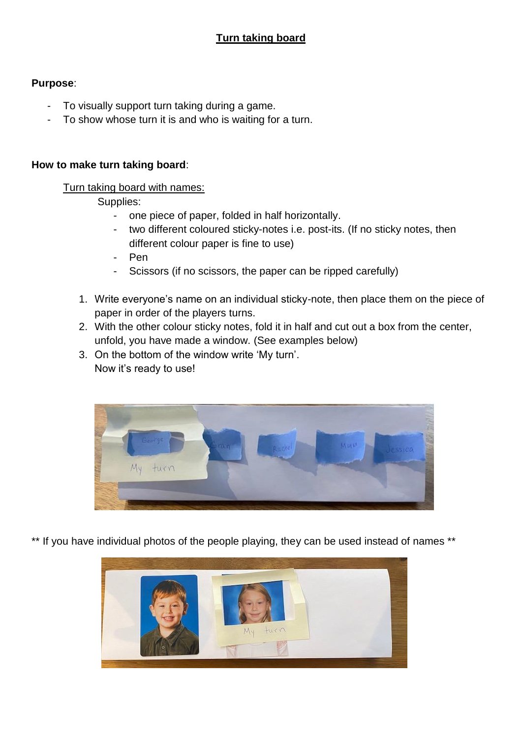# **Purpose**:

- To visually support turn taking during a game.
- To show whose turn it is and who is waiting for a turn.

## **How to make turn taking board**:

## Turn taking board with names:

## Supplies:

- one piece of paper, folded in half horizontally.
- two different coloured sticky-notes i.e. post-its. (If no sticky notes, then different colour paper is fine to use)
- Pen
- Scissors (if no scissors, the paper can be ripped carefully)
- 1. Write everyone's name on an individual sticky-note, then place them on the piece of paper in order of the players turns.
- 2. With the other colour sticky notes, fold it in half and cut out a box from the center, unfold, you have made a window. (See examples below)
- 3. On the bottom of the window write 'My turn'. Now it's ready to use!



\*\* If you have individual photos of the people playing, they can be used instead of names \*\*